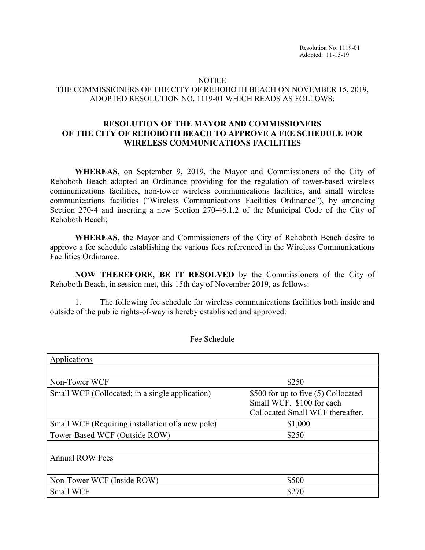## NOTICE THE COMMISSIONERS OF THE CITY OF REHOBOTH BEACH ON NOVEMBER 15, 2019, ADOPTED RESOLUTION NO. 1119-01 WHICH READS AS FOLLOWS:

## **RESOLUTION OF THE MAYOR AND COMMISSIONERS OF THE CITY OF REHOBOTH BEACH TO APPROVE A FEE SCHEDULE FOR WIRELESS COMMUNICATIONS FACILITIES**

**WHEREAS**, on September 9, 2019, the Mayor and Commissioners of the City of Rehoboth Beach adopted an Ordinance providing for the regulation of tower-based wireless communications facilities, non-tower wireless communications facilities, and small wireless communications facilities ("Wireless Communications Facilities Ordinance"), by amending Section 270-4 and inserting a new Section 270-46.1.2 of the Municipal Code of the City of Rehoboth Beach;

**WHEREAS**, the Mayor and Commissioners of the City of Rehoboth Beach desire to approve a fee schedule establishing the various fees referenced in the Wireless Communications Facilities Ordinance.

**NOW THEREFORE, BE IT RESOLVED** by the Commissioners of the City of Rehoboth Beach, in session met, this 15th day of November 2019, as follows:

1. The following fee schedule for wireless communications facilities both inside and outside of the public rights-of-way is hereby established and approved:

| Applications                                     |                                                                                                      |
|--------------------------------------------------|------------------------------------------------------------------------------------------------------|
|                                                  |                                                                                                      |
| Non-Tower WCF                                    | \$250                                                                                                |
| Small WCF (Collocated; in a single application)  | \$500 for up to five (5) Collocated<br>Small WCF. \$100 for each<br>Collocated Small WCF thereafter. |
| Small WCF (Requiring installation of a new pole) | \$1,000                                                                                              |
| Tower-Based WCF (Outside ROW)                    | \$250                                                                                                |
|                                                  |                                                                                                      |
| <b>Annual ROW Fees</b>                           |                                                                                                      |
|                                                  |                                                                                                      |
| Non-Tower WCF (Inside ROW)                       | \$500                                                                                                |
| Small WCF                                        | \$270                                                                                                |

Fee Schedule